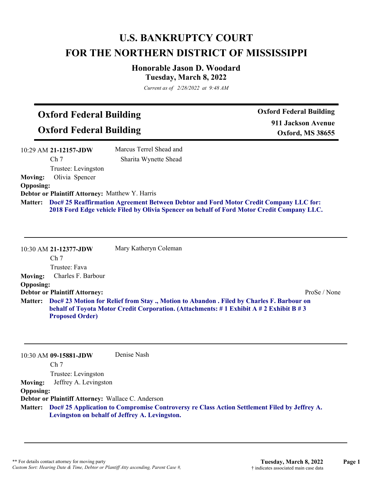# **U.S. BANKRUPTCY COURT FOR THE NORTHERN DISTRICT OF MISSISSIPPI**

## **Honorable Jason D. Woodard Tuesday, March 8, 2022**

*Current as of 2/28/2022 at 9:48 AM*

# **Oxford Federal Building**

**Oxford Federal Building**

**Oxford Federal Building 911 Jackson Avenue Oxford, MS 38655**

|                  | 10:29 AM 21-12157-JDW                                  | Marcus Terrel Shead and                                                                       |
|------------------|--------------------------------------------------------|-----------------------------------------------------------------------------------------------|
|                  | Ch <sub>7</sub>                                        | Sharita Wynette Shead                                                                         |
|                  | Trustee: Levingston                                    |                                                                                               |
| <b>Moving:</b>   | Olivia Spencer                                         |                                                                                               |
| <b>Opposing:</b> |                                                        |                                                                                               |
|                  | <b>Debtor or Plaintiff Attorney: Matthew Y. Harris</b> |                                                                                               |
|                  |                                                        | Matter: Doc# 25 Reaffirmation Agreement Between Debtor and Ford Motor Credit Company LLC for: |
|                  |                                                        | 2018 Ford Edge vehicle Filed by Olivia Spencer on behalf of Ford Motor Credit Company LLC.    |

|                  | 10:30 AM 21-12377-JDW                                                                                                                                                                                              | Mary Katheryn Coleman |              |
|------------------|--------------------------------------------------------------------------------------------------------------------------------------------------------------------------------------------------------------------|-----------------------|--------------|
|                  | Ch <sub>7</sub>                                                                                                                                                                                                    |                       |              |
|                  | Trustee: Fava                                                                                                                                                                                                      |                       |              |
| <b>Moving:</b>   | Charles F. Barbour                                                                                                                                                                                                 |                       |              |
| <b>Opposing:</b> |                                                                                                                                                                                                                    |                       |              |
|                  | <b>Debtor or Plaintiff Attorney:</b>                                                                                                                                                                               |                       | ProSe / None |
|                  | Matter: Doc# 23 Motion for Relief from Stay., Motion to Abandon. Filed by Charles F. Barbour on<br>behalf of Toyota Motor Credit Corporation. (Attachments: #1 Exhibit A #2 Exhibit B #3<br><b>Proposed Order)</b> |                       |              |

10:30 AM **09-15881-JDW**  Ch 7 Trustee: Levingston Denise Nash **Moving:** Jeffrey A. Levingston **Opposing: Debtor or Plaintiff Attorney:** Wallace C. Anderson **Doc# 25 Application to Compromise Controversy re Class Action Settlement Filed by Jeffrey A. Matter: Levingston on behalf of Jeffrey A. Levingston.**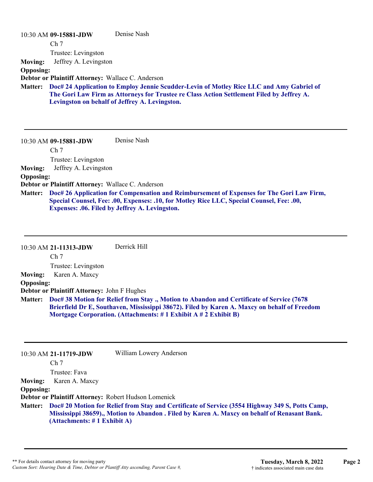| 10:30 AM 09-15881-JDW                                                                                                                                                                                                                                     | Denise Nash |
|-----------------------------------------------------------------------------------------------------------------------------------------------------------------------------------------------------------------------------------------------------------|-------------|
| Ch <sub>7</sub>                                                                                                                                                                                                                                           |             |
| Trustee: Levingston                                                                                                                                                                                                                                       |             |
| Jeffrey A. Levingston<br><b>Moving:</b>                                                                                                                                                                                                                   |             |
| <b>Opposing:</b>                                                                                                                                                                                                                                          |             |
| Debtor or Plaintiff Attorney: Wallace C. Anderson                                                                                                                                                                                                         |             |
| Doc# 24 Application to Employ Jennie Scudder-Levin of Motley Rice LLC and Amy Gabriel of<br><b>Matter:</b><br>The Gori Law Firm as Attorneys for Trustee re Class Action Settlement Filed by Jeffrey A.<br>Levingston on behalf of Jeffrey A. Levingston. |             |
| 10:30 AM 09-15881-JDW                                                                                                                                                                                                                                     | Denise Nash |
| Ch <sub>7</sub>                                                                                                                                                                                                                                           |             |
| Trustee: Levingston                                                                                                                                                                                                                                       |             |
| Jeffrey A. Levingston<br><b>Moving:</b>                                                                                                                                                                                                                   |             |

#### **Opposing:**

**Debtor or Plaintiff Attorney:** Wallace C. Anderson

**Doc# 26 Application for Compensation and Reimbursement of Expenses for The Gori Law Firm, Special Counsel, Fee: .00, Expenses: .10, for Motley Rice LLC, Special Counsel, Fee: .00, Expenses: .06. Filed by Jeffrey A. Levingston. Matter:**

|                  | 10:30 AM 21-11313-JDW                              | Derrick Hill                                                                                                                                                                                                                                                                |
|------------------|----------------------------------------------------|-----------------------------------------------------------------------------------------------------------------------------------------------------------------------------------------------------------------------------------------------------------------------------|
|                  | Ch <sub>7</sub>                                    |                                                                                                                                                                                                                                                                             |
|                  | Trustee: Levingston                                |                                                                                                                                                                                                                                                                             |
| <b>Moving:</b>   | Karen A. Maxcy                                     |                                                                                                                                                                                                                                                                             |
| <b>Opposing:</b> |                                                    |                                                                                                                                                                                                                                                                             |
|                  | <b>Debtor or Plaintiff Attorney: John F Hughes</b> |                                                                                                                                                                                                                                                                             |
|                  |                                                    | Matter: Doc# 38 Motion for Relief from Stay., Motion to Abandon and Certificate of Service (7678)<br>Brierfield Dr E, Southaven, Mississippi 38672). Filed by Karen A. Maxcy on behalf of Freedom<br>Mortgage Corporation. (Attachments: $\# 1$ Exhibit A $\# 2$ Exhibit B) |

|                  | 10:30 AM 21-11719-JDW        | William Lowery Anderson                                                                                                                                                                                 |
|------------------|------------------------------|---------------------------------------------------------------------------------------------------------------------------------------------------------------------------------------------------------|
|                  | Ch <sub>7</sub>              |                                                                                                                                                                                                         |
|                  | Trustee: Fava                |                                                                                                                                                                                                         |
| <b>Moving:</b>   | Karen A. Maxcy               |                                                                                                                                                                                                         |
| <b>Opposing:</b> |                              |                                                                                                                                                                                                         |
|                  |                              | Debtor or Plaintiff Attorney: Robert Hudson Lomenick                                                                                                                                                    |
|                  | (Attachments: # 1 Exhibit A) | Matter: Doc# 20 Motion for Relief from Stay and Certificate of Service (3554 Highway 349 S, Potts Camp,<br>Mississippi 38659)., Motion to Abandon . Filed by Karen A. Maxcy on behalf of Renasant Bank. |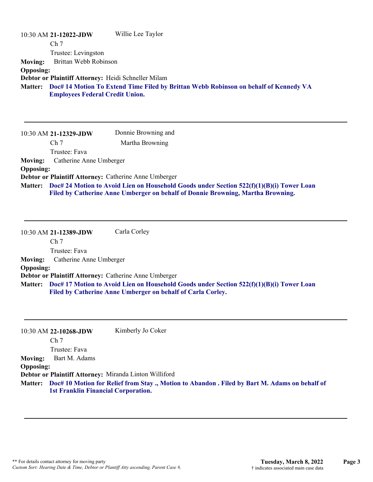|                  | Willie Lee Taylor<br>10:30 AM 21-12022-JDW                                                                                             |
|------------------|----------------------------------------------------------------------------------------------------------------------------------------|
|                  | Ch <sub>7</sub>                                                                                                                        |
|                  | Trustee: Levingston                                                                                                                    |
| <b>Moving:</b>   | Brittan Webb Robinson                                                                                                                  |
| <b>Opposing:</b> |                                                                                                                                        |
|                  | Debtor or Plaintiff Attorney: Heidi Schneller Milam                                                                                    |
|                  | Matter: Doc# 14 Motion To Extend Time Filed by Brittan Webb Robinson on behalf of Kennedy VA<br><b>Employees Federal Credit Union.</b> |

|                  | 10:30 AM 21-12329-JDW                                 | Donnie Browning and                                                                                                                                                         |
|------------------|-------------------------------------------------------|-----------------------------------------------------------------------------------------------------------------------------------------------------------------------------|
|                  | Ch <sub>7</sub>                                       | Martha Browning                                                                                                                                                             |
|                  | Trustee: Fava                                         |                                                                                                                                                                             |
| <b>Moving:</b>   | Catherine Anne Umberger                               |                                                                                                                                                                             |
| <b>Opposing:</b> |                                                       |                                                                                                                                                                             |
|                  | Debtor or Plaintiff Attorney: Catherine Anne Umberger |                                                                                                                                                                             |
| <b>Matter:</b>   |                                                       | Doc# 24 Motion to Avoid Lien on Household Goods under Section 522(f)(1)(B)(i) Tower Loan<br>Filed by Catherine Anne Umberger on behalf of Donnie Browning, Martha Browning. |

10:30 AM **21-12389-JDW**  Ch 7 Trustee: Fava Carla Corley **Moving:** Catherine Anne Umberger **Opposing: Debtor or Plaintiff Attorney:** Catherine Anne Umberger **Doc# 17 Motion to Avoid Lien on Household Goods under Section 522(f)(1)(B)(i) Tower Loan Matter: Filed by Catherine Anne Umberger on behalf of Carla Corley.**

|                  | 10:30 AM 22-10268-JDW                                  | Kimberly Jo Coker                                                                                      |
|------------------|--------------------------------------------------------|--------------------------------------------------------------------------------------------------------|
|                  | Ch <sub>7</sub>                                        |                                                                                                        |
|                  | Trustee: Fava                                          |                                                                                                        |
| <b>Moving:</b>   | Bart M. Adams                                          |                                                                                                        |
| <b>Opposing:</b> |                                                        |                                                                                                        |
|                  | Debtor or Plaintiff Attorney: Miranda Linton Williford |                                                                                                        |
|                  | <b>1st Franklin Financial Corporation.</b>             | Matter: Doc# 10 Motion for Relief from Stay ., Motion to Abandon . Filed by Bart M. Adams on behalf of |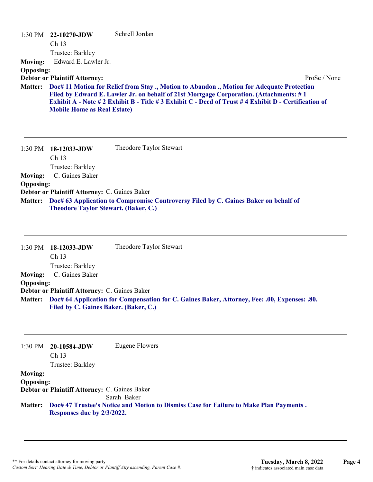| <b>Moving:</b><br><b>Opposing:</b> | $1:30 \text{ PM}$ 22-10270-JDW<br>Ch <sub>13</sub><br>Trustee: Barkley<br>Edward E. Lawler Jr. | Schrell Jordan                                                                                                                                                                                                                                                                                              |  |
|------------------------------------|------------------------------------------------------------------------------------------------|-------------------------------------------------------------------------------------------------------------------------------------------------------------------------------------------------------------------------------------------------------------------------------------------------------------|--|
| <b>Matter:</b>                     | <b>Debtor or Plaintiff Attorney:</b><br><b>Mobile Home as Real Estate)</b>                     | ProSe / None<br>Doc# 11 Motion for Relief from Stay., Motion to Abandon., Motion for Adequate Protection<br>Filed by Edward E. Lawler Jr. on behalf of 21st Mortgage Corporation. (Attachments: #1<br>Exhibit A - Note # 2 Exhibit B - Title # 3 Exhibit C - Deed of Trust # 4 Exhibit D - Certification of |  |
|                                    | $1:30$ PM $18-12033$ -JDW                                                                      | Theodore Taylor Stewart                                                                                                                                                                                                                                                                                     |  |

|                  | $1.501111$ 10 14000 010 W                                                                   |
|------------------|---------------------------------------------------------------------------------------------|
|                  | Ch <sub>13</sub>                                                                            |
|                  | Trustee: Barkley                                                                            |
|                  | <b>Moving:</b> C. Gaines Baker                                                              |
| <b>Opposing:</b> |                                                                                             |
|                  | <b>Debtor or Plaintiff Attorney: C. Gaines Baker</b>                                        |
|                  | Matter: Doc# 63 Application to Compromise Controversy Filed by C. Gaines Baker on behalf of |
|                  | <b>Theodore Taylor Stewart. (Baker, C.)</b>                                                 |

| $1:30$ PM        | 18-12033-JDW                                         | Theodore Taylor Stewart                                                                              |
|------------------|------------------------------------------------------|------------------------------------------------------------------------------------------------------|
|                  | Ch <sub>13</sub>                                     |                                                                                                      |
|                  | Trustee: Barkley                                     |                                                                                                      |
| <b>Moving:</b>   | C. Gaines Baker                                      |                                                                                                      |
| <b>Opposing:</b> |                                                      |                                                                                                      |
|                  | <b>Debtor or Plaintiff Attorney: C. Gaines Baker</b> |                                                                                                      |
|                  |                                                      | Matter: Doc# 64 Application for Compensation for C. Gaines Baker, Attorney, Fee: .00, Expenses: .80. |
|                  | Filed by C. Gaines Baker. (Baker, C.)                |                                                                                                      |

| $1:30$ PM        | 20-10584-JDW<br>$\rm Ch$ 13                                                                                          | Eugene Flowers |
|------------------|----------------------------------------------------------------------------------------------------------------------|----------------|
|                  | Trustee: Barkley                                                                                                     |                |
| <b>Moving:</b>   |                                                                                                                      |                |
| <b>Opposing:</b> |                                                                                                                      |                |
|                  | Debtor or Plaintiff Attorney: C. Gaines Baker                                                                        |                |
|                  |                                                                                                                      | Sarah Baker    |
| <b>Matter:</b>   | Doc# 47 Trustee's Notice and Motion to Dismiss Case for Failure to Make Plan Payments.<br>Responses due by 2/3/2022. |                |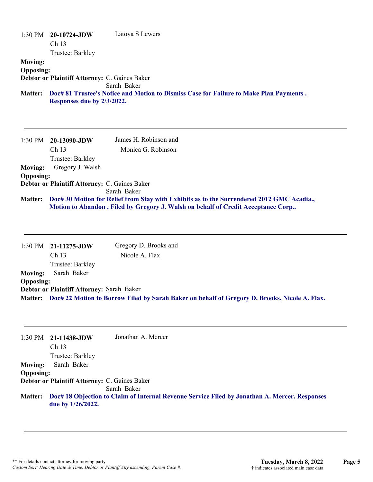|                  | $1:30 \text{ PM}$ 20-10724-JDW                | Latoya S Lewers                                                                        |
|------------------|-----------------------------------------------|----------------------------------------------------------------------------------------|
|                  | Ch <sub>13</sub>                              |                                                                                        |
|                  |                                               |                                                                                        |
|                  | Trustee: Barkley                              |                                                                                        |
| <b>Moving:</b>   |                                               |                                                                                        |
| <b>Opposing:</b> |                                               |                                                                                        |
|                  | Debtor or Plaintiff Attorney: C. Gaines Baker |                                                                                        |
|                  |                                               | Sarah Baker                                                                            |
| <b>Matter:</b>   |                                               | Doc# 81 Trustee's Notice and Motion to Dismiss Case for Failure to Make Plan Payments. |
|                  | Responses due by 2/3/2022.                    |                                                                                        |

|                  | $1:30 \text{ PM}$ 20-13090-JDW                       | James H. Robinson and                                                                     |
|------------------|------------------------------------------------------|-------------------------------------------------------------------------------------------|
|                  | Ch <sub>13</sub>                                     | Monica G. Robinson                                                                        |
|                  | Trustee: Barkley                                     |                                                                                           |
| <b>Moving:</b>   | Gregory J. Walsh                                     |                                                                                           |
| <b>Opposing:</b> |                                                      |                                                                                           |
|                  | <b>Debtor or Plaintiff Attorney: C. Gaines Baker</b> |                                                                                           |
|                  |                                                      | Sarah Baker                                                                               |
| <b>Matter:</b>   |                                                      | Doc# 30 Motion for Relief from Stay with Exhibits as to the Surrendered 2012 GMC Acadia., |
|                  |                                                      | Motion to Abandon . Filed by Gregory J. Walsh on behalf of Credit Acceptance Corp         |

|                  | $1:30 \text{ PM}$ 21-11275-JDW            | Gregory D. Brooks and |                                                                                                       |
|------------------|-------------------------------------------|-----------------------|-------------------------------------------------------------------------------------------------------|
|                  | Ch <sub>13</sub>                          | Nicole A. Flax        |                                                                                                       |
|                  | Trustee: Barkley                          |                       |                                                                                                       |
| <b>Moving:</b>   | Sarah Baker                               |                       |                                                                                                       |
| <b>Opposing:</b> |                                           |                       |                                                                                                       |
|                  | Debtor or Plaintiff Attorney: Sarah Baker |                       |                                                                                                       |
|                  |                                           |                       | Matter: Doc# 22 Motion to Borrow Filed by Sarah Baker on behalf of Gregory D. Brooks, Nicole A. Flax. |

|                  | $1:30 \text{ PM}$ 21-11438-JDW                       | Jonathan A. Mercer                                                                                    |
|------------------|------------------------------------------------------|-------------------------------------------------------------------------------------------------------|
|                  | Ch <sub>13</sub>                                     |                                                                                                       |
|                  | Trustee: Barkley                                     |                                                                                                       |
| <b>Moving:</b>   | Sarah Baker                                          |                                                                                                       |
| <b>Opposing:</b> |                                                      |                                                                                                       |
|                  | <b>Debtor or Plaintiff Attorney: C. Gaines Baker</b> |                                                                                                       |
|                  |                                                      | Sarah Baker                                                                                           |
|                  | due by $1/26/2022$ .                                 | Matter: Doc# 18 Objection to Claim of Internal Revenue Service Filed by Jonathan A. Mercer. Responses |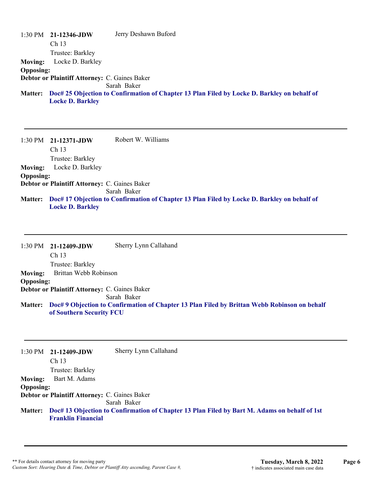|                  | $1:30 \text{ PM}$ 21-12346-JDW                       | Jerry Deshawn Buford                                                                        |
|------------------|------------------------------------------------------|---------------------------------------------------------------------------------------------|
|                  | Ch <sub>13</sub>                                     |                                                                                             |
|                  | Trustee: Barkley                                     |                                                                                             |
| <b>Moving:</b>   | Locke D. Barkley                                     |                                                                                             |
| <b>Opposing:</b> |                                                      |                                                                                             |
|                  | <b>Debtor or Plaintiff Attorney: C. Gaines Baker</b> |                                                                                             |
|                  |                                                      | Sarah Baker                                                                                 |
| <b>Matter:</b>   |                                                      | Doc# 25 Objection to Confirmation of Chapter 13 Plan Filed by Locke D. Barkley on behalf of |
|                  | <b>Locke D. Barkley</b>                              |                                                                                             |
|                  |                                                      |                                                                                             |

1:30 PM **21-12371-JDW**  Ch 13 Trustee: Barkley Robert W. Williams **Moving:** Locke D. Barkley **Opposing: Debtor or Plaintiff Attorney:** C. Gaines Baker Sarah Baker **Doc# 17 Objection to Confirmation of Chapter 13 Plan Filed by Locke D. Barkley on behalf of Matter: Locke D. Barkley**

|                  | $1:30 \text{ PM}$ 21-12409-JDW<br>Ch <sub>13</sub> | Sherry Lynn Callahand                                                                        |
|------------------|----------------------------------------------------|----------------------------------------------------------------------------------------------|
|                  | Trustee: Barkley                                   |                                                                                              |
| <b>Moving:</b>   | Brittan Webb Robinson                              |                                                                                              |
| <b>Opposing:</b> |                                                    |                                                                                              |
|                  | Debtor or Plaintiff Attorney: C. Gaines Baker      |                                                                                              |
|                  |                                                    | Sarah Baker                                                                                  |
| <b>Matter:</b>   | of Southern Security FCU                           | Doc# 9 Objection to Confirmation of Chapter 13 Plan Filed by Brittan Webb Robinson on behalf |

|                  | $1:30 \text{ PM}$ 21-12409-JDW                       | Sherry Lynn Callahand                                                                                |
|------------------|------------------------------------------------------|------------------------------------------------------------------------------------------------------|
|                  | Ch <sub>13</sub>                                     |                                                                                                      |
|                  | Trustee: Barkley                                     |                                                                                                      |
| <b>Moving:</b>   | Bart M. Adams                                        |                                                                                                      |
| <b>Opposing:</b> |                                                      |                                                                                                      |
|                  | <b>Debtor or Plaintiff Attorney: C. Gaines Baker</b> |                                                                                                      |
|                  |                                                      | Sarah Baker                                                                                          |
|                  | <b>Franklin Financial</b>                            | Matter: Doc# 13 Objection to Confirmation of Chapter 13 Plan Filed by Bart M. Adams on behalf of 1st |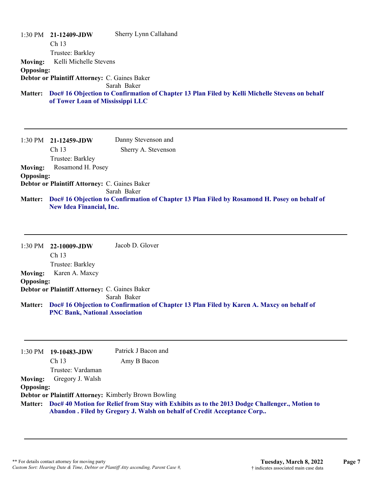1:30 PM **21-12409-JDW**  Ch 13 Trustee: Barkley Sherry Lynn Callahand **Moving:** Kelli Michelle Stevens **Opposing: Debtor or Plaintiff Attorney:** C. Gaines Baker Sarah Baker **Doc# 16 Objection to Confirmation of Chapter 13 Plan Filed by Kelli Michelle Stevens on behalf Matter: of Tower Loan of Mississippi LLC**

1:30 PM **21-12459-JDW**  Ch 13 Trustee: Barkley Danny Stevenson and Sherry A. Stevenson **Moving:** Rosamond H. Posey **Opposing: Debtor or Plaintiff Attorney:** C. Gaines Baker Sarah Baker **Doc# 16 Objection to Confirmation of Chapter 13 Plan Filed by Rosamond H. Posey on behalf of Matter: New Idea Financial, Inc.**

1:30 PM **22-10009-JDW**  Ch 13 Trustee: Barkley Jacob D. Glover **Moving:** Karen A. Maxcy **Opposing: Debtor or Plaintiff Attorney:** C. Gaines Baker Sarah Baker **Doc# 16 Objection to Confirmation of Chapter 13 Plan Filed by Karen A. Maxcy on behalf of Matter: PNC Bank, National Association**

| 1:30 PM          | 19-10483-JDW      | Patrick J Bacon and                                                                                                                                                              |
|------------------|-------------------|----------------------------------------------------------------------------------------------------------------------------------------------------------------------------------|
|                  | Ch <sub>13</sub>  | Amy B Bacon                                                                                                                                                                      |
|                  | Trustee: Vardaman |                                                                                                                                                                                  |
| <b>Moving:</b>   | Gregory J. Walsh  |                                                                                                                                                                                  |
| <b>Opposing:</b> |                   |                                                                                                                                                                                  |
|                  |                   | <b>Debtor or Plaintiff Attorney: Kimberly Brown Bowling</b>                                                                                                                      |
|                  |                   | Matter: Doc# 40 Motion for Relief from Stay with Exhibits as to the 2013 Dodge Challenger., Motion to<br>Abandon . Filed by Gregory J. Walsh on behalf of Credit Acceptance Corp |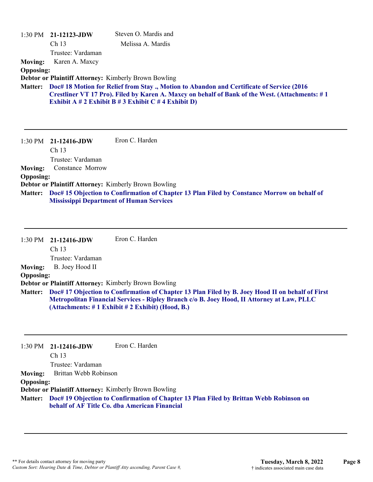|                                    | $1:30 \text{ PM}$ 21-12123-JDW<br>Ch <sub>13</sub><br>Trustee: Vardaman | Steven O. Mardis and<br>Melissa A. Mardis                                                                                                                                                                                                                |
|------------------------------------|-------------------------------------------------------------------------|----------------------------------------------------------------------------------------------------------------------------------------------------------------------------------------------------------------------------------------------------------|
| <b>Moving:</b><br><b>Opposing:</b> | Karen A. Maxcy                                                          |                                                                                                                                                                                                                                                          |
|                                    | <b>Debtor or Plaintiff Attorney: Kimberly Brown Bowling</b>             |                                                                                                                                                                                                                                                          |
| <b>Matter:</b>                     |                                                                         | Doc# 18 Motion for Relief from Stay., Motion to Abandon and Certificate of Service (2016<br>Crestliner VT 17 Pro). Filed by Karen A. Maxcy on behalf of Bank of the West. (Attachments: #1<br>Exhibit A $# 2$ Exhibit B $# 3$ Exhibit C $# 4$ Exhibit D) |
|                                    | $1:30 \text{ PM}$ 21-12416-JDW<br>Ch 13<br>Trustee: Vardaman            | Eron C. Harden                                                                                                                                                                                                                                           |
| <b>Moving:</b>                     | Constance Morrow                                                        |                                                                                                                                                                                                                                                          |
| <b>Opposing:</b>                   |                                                                         |                                                                                                                                                                                                                                                          |
|                                    | <b>Debtor or Plaintiff Attorney: Kimberly Brown Bowling</b>             |                                                                                                                                                                                                                                                          |
| <b>Matter:</b>                     | <b>Mississippi Department of Human Services</b>                         | Doc# 15 Objection to Confirmation of Chapter 13 Plan Filed by Constance Morrow on behalf of                                                                                                                                                              |

|                  | 1:30 PM 21-12416-JDW | Eron C. Harden                                                                                                                                |
|------------------|----------------------|-----------------------------------------------------------------------------------------------------------------------------------------------|
|                  | Ch <sub>13</sub>     |                                                                                                                                               |
|                  | Trustee: Vardaman    |                                                                                                                                               |
| <b>Moving:</b>   | B. Joey Hood II      |                                                                                                                                               |
| <b>Opposing:</b> |                      |                                                                                                                                               |
|                  |                      | Debtor or Plaintiff Attorney: Kimberly Brown Bowling                                                                                          |
|                  |                      | Matter: Doc# 17 Objection to Confirmation of Chapter 13 Plan Filed by B. Joey Hood II on behalf of First                                      |
|                  |                      | Metropolitan Financial Services - Ripley Branch c/o B. Joey Hood, II Attorney at Law, PLLC<br>(Attachments: #1 Exhibit #2 Exhibit) (Hood, B.) |

|                  | $1:30 \text{ PM}$ 21-12416-JDW                       | Eron C. Harden                                                                                                                                  |
|------------------|------------------------------------------------------|-------------------------------------------------------------------------------------------------------------------------------------------------|
|                  | Ch <sub>13</sub>                                     |                                                                                                                                                 |
|                  | Trustee: Vardaman                                    |                                                                                                                                                 |
| <b>Moving:</b>   | Brittan Webb Robinson                                |                                                                                                                                                 |
| <b>Opposing:</b> |                                                      |                                                                                                                                                 |
|                  | Debtor or Plaintiff Attorney: Kimberly Brown Bowling |                                                                                                                                                 |
|                  |                                                      | Matter: Doc# 19 Objection to Confirmation of Chapter 13 Plan Filed by Brittan Webb Robinson on<br>behalf of AF Title Co. dba American Financial |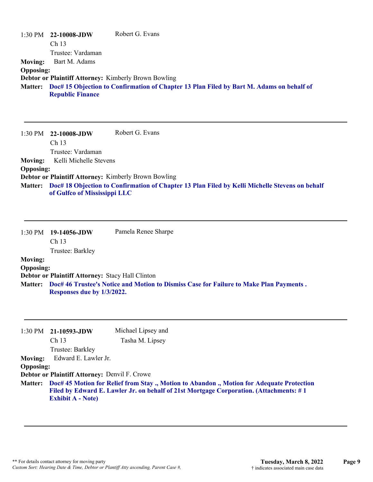|                  | $1:30$ PM $22-10008$ -JDW | Robert G. Evans                                                                                  |
|------------------|---------------------------|--------------------------------------------------------------------------------------------------|
|                  | Ch <sub>13</sub>          |                                                                                                  |
|                  | Trustee: Vardaman         |                                                                                                  |
| <b>Moving:</b>   | Bart M. Adams             |                                                                                                  |
| <b>Opposing:</b> |                           |                                                                                                  |
|                  |                           | Debtor or Plaintiff Attorney: Kimberly Brown Bowling                                             |
|                  | <b>Republic Finance</b>   | Matter: Doc# 15 Objection to Confirmation of Chapter 13 Plan Filed by Bart M. Adams on behalf of |

1:30 PM **22-10008-JDW**  Ch 13 Trustee: Vardaman Robert G. Evans **Moving:** Kelli Michelle Stevens **Opposing: Debtor or Plaintiff Attorney:** Kimberly Brown Bowling **Doc# 18 Objection to Confirmation of Chapter 13 Plan Filed by Kelli Michelle Stevens on behalf Matter: of Gulfco of Mississippi LLC**

|                  | 1:30 PM 19-14056-JDW                             | Pamela Renee Sharpe                                                                    |
|------------------|--------------------------------------------------|----------------------------------------------------------------------------------------|
|                  | Ch <sub>13</sub>                                 |                                                                                        |
|                  | Trustee: Barkley                                 |                                                                                        |
| <b>Moving:</b>   |                                                  |                                                                                        |
| <b>Opposing:</b> |                                                  |                                                                                        |
|                  | Debtor or Plaintiff Attorney: Stacy Hall Clinton |                                                                                        |
| <b>Matter:</b>   |                                                  | Doc# 46 Trustee's Notice and Motion to Dismiss Case for Failure to Make Plan Payments. |
|                  | Responses due by 1/3/2022.                       |                                                                                        |

|                          | Michael Lipsey and                                                                                                                                                                 |
|--------------------------|------------------------------------------------------------------------------------------------------------------------------------------------------------------------------------|
| Ch <sub>13</sub>         | Tasha M. Lipsey                                                                                                                                                                    |
| Trustee: Barkley         |                                                                                                                                                                                    |
|                          |                                                                                                                                                                                    |
|                          |                                                                                                                                                                                    |
|                          |                                                                                                                                                                                    |
| <b>Exhibit A - Note)</b> | Doc# 45 Motion for Relief from Stay., Motion to Abandon., Motion for Adequate Protection<br>Filed by Edward E. Lawler Jr. on behalf of 21st Mortgage Corporation. (Attachments: #1 |
|                          | 21-10593-JDW<br>Edward E. Lawler Jr.<br><b>Opposing:</b><br>Debtor or Plaintiff Attorney: Denvil F. Crowe                                                                          |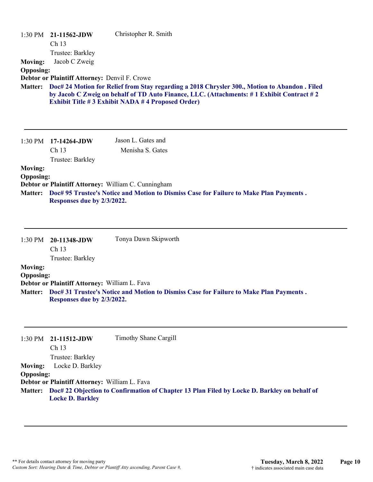| <b>Moving:</b><br><b>Opposing:</b>                   | 1:30 PM 21-11562-JDW<br>Ch <sub>13</sub><br>Trustee: Barkley<br>Jacob C Zweig<br><b>Debtor or Plaintiff Attorney: Denvil F. Crowe</b> | Christopher R. Smith                                                                                                                                                                                                                                 |
|------------------------------------------------------|---------------------------------------------------------------------------------------------------------------------------------------|------------------------------------------------------------------------------------------------------------------------------------------------------------------------------------------------------------------------------------------------------|
| <b>Matter:</b>                                       |                                                                                                                                       | Doc# 24 Motion for Relief from Stay regarding a 2018 Chrysler 300., Motion to Abandon . Filed<br>by Jacob C Zweig on behalf of TD Auto Finance, LLC. (Attachments: #1 Exhibit Contract #2<br><b>Exhibit Title #3 Exhibit NADA #4 Proposed Order)</b> |
|                                                      | $1:30 \text{ PM}$ 17-14264-JDW<br>Ch <sub>13</sub><br>Trustee: Barkley                                                                | Jason L. Gates and<br>Menisha S. Gates                                                                                                                                                                                                               |
| <b>Moving:</b><br><b>Opposing:</b><br><b>Matter:</b> | Debtor or Plaintiff Attorney: William C. Cunningham<br>Responses due by 2/3/2022.                                                     | Doc# 95 Trustee's Notice and Motion to Dismiss Case for Failure to Make Plan Payments.                                                                                                                                                               |

|                  | 1:30 PM 20-11348-JDW                          | Tonya Dawn Skipworth                                                                   |
|------------------|-----------------------------------------------|----------------------------------------------------------------------------------------|
|                  | Ch <sub>13</sub>                              |                                                                                        |
|                  | Trustee: Barkley                              |                                                                                        |
| <b>Moving:</b>   |                                               |                                                                                        |
| <b>Opposing:</b> |                                               |                                                                                        |
|                  | Debtor or Plaintiff Attorney: William L. Fava |                                                                                        |
| <b>Matter:</b>   | Responses due by 2/3/2022.                    | Doc# 31 Trustee's Notice and Motion to Dismiss Case for Failure to Make Plan Payments. |

|                  | $1:30 \text{ PM}$ 21-11512-JDW                | Timothy Shane Cargill                                                                               |
|------------------|-----------------------------------------------|-----------------------------------------------------------------------------------------------------|
|                  | Ch <sub>13</sub>                              |                                                                                                     |
|                  | Trustee: Barkley                              |                                                                                                     |
| <b>Moving:</b>   | Locke D. Barkley                              |                                                                                                     |
| <b>Opposing:</b> |                                               |                                                                                                     |
|                  | Debtor or Plaintiff Attorney: William L. Fava |                                                                                                     |
|                  |                                               | Matter: Doc# 22 Objection to Confirmation of Chapter 13 Plan Filed by Locke D. Barkley on behalf of |
|                  | <b>Locke D. Barkley</b>                       |                                                                                                     |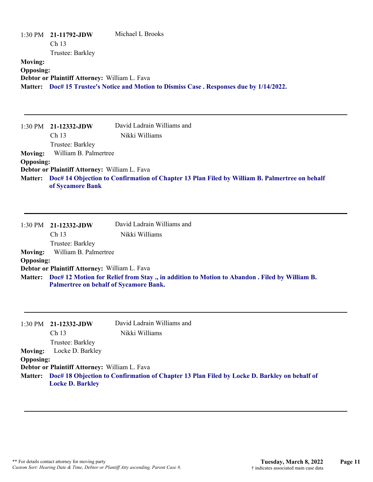| 1:30 PM                            | 21-11792-JDW<br>Ch <sub>13</sub><br>Trustee: Barkley                                    | Michael L Brooks                                                                              |
|------------------------------------|-----------------------------------------------------------------------------------------|-----------------------------------------------------------------------------------------------|
| <b>Moving:</b><br><b>Opposing:</b> | Debtor or Plaintiff Attorney: William L. Fava                                           | Matter: Doc# 15 Trustee's Notice and Motion to Dismiss Case. Responses due by 1/14/2022.      |
| $1:30$ PM                          | 21-12332-JDW<br>Ch 13<br>Trustee: Barkley                                               | David Ladrain Williams and<br>Nikki Williams                                                  |
| <b>Moving:</b>                     | William B. Palmertree                                                                   |                                                                                               |
| <b>Opposing:</b>                   |                                                                                         |                                                                                               |
| <b>Matter:</b>                     | Debtor or Plaintiff Attorney: William L. Fava<br>of Sycamore Bank                       | Doc# 14 Objection to Confirmation of Chapter 13 Plan Filed by William B. Palmertree on behalf |
| 1:30 PM                            | 21-12332-JDW<br>Ch 13<br>Trustee: Barkley                                               | David Ladrain Williams and<br>Nikki Williams                                                  |
| <b>Moving:</b>                     | William B. Palmertree                                                                   |                                                                                               |
| <b>Opposing:</b>                   |                                                                                         |                                                                                               |
| <b>Matter:</b>                     | Debtor or Plaintiff Attorney: William L. Fava<br>Palmertree on behalf of Sycamore Bank. | Doc# 12 Motion for Relief from Stay., in addition to Motion to Abandon. Filed by William B.   |
| 1:30 PM                            | 21-12332-JDW<br>Ch 13<br>Trustee: Barkley                                               | David Ladrain Williams and<br>Nikki Williams                                                  |
| <b>Moving:</b><br><b>Opposing:</b> | Locke D. Barkley                                                                        |                                                                                               |
|                                    | Debtor or Plaintiff Attorney: William L. Fava                                           |                                                                                               |
| <b>Matter:</b>                     | <b>Locke D. Barkley</b>                                                                 | Doc# 18 Objection to Confirmation of Chapter 13 Plan Filed by Locke D. Barkley on behalf of   |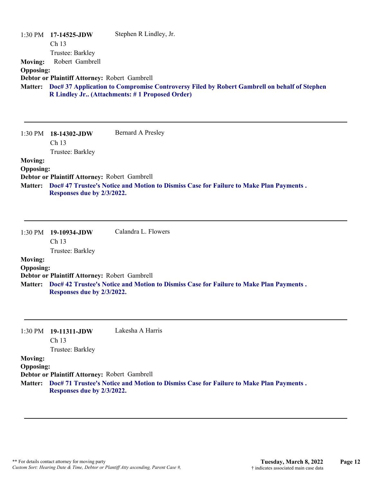| <b>Moving:</b><br><b>Opposing:</b>                   | 17-14525-JDW<br>Ch 13<br>Trustee: Barkley<br>Robert Gambrell<br>Debtor or Plaintiff Attorney: Robert Gambrell | Stephen R Lindley, Jr.<br>Matter: Doc# 37 Application to Compromise Controversy Filed by Robert Gambrell on behalf of Stephen<br>R Lindley Jr (Attachments: #1 Proposed Order) |
|------------------------------------------------------|---------------------------------------------------------------------------------------------------------------|--------------------------------------------------------------------------------------------------------------------------------------------------------------------------------|
| 1:30 PM                                              | 18-14302-JDW<br>Ch 13<br>Trustee: Barkley                                                                     | <b>Bernard A Presley</b>                                                                                                                                                       |
| <b>Moving:</b><br><b>Opposing:</b>                   | Debtor or Plaintiff Attorney: Robert Gambrell                                                                 | Doc# 47 Trustee's Notice and Motion to Dismiss Case for Failure to Make Plan Payments.                                                                                         |
| <b>Matter:</b>                                       | Responses due by 2/3/2022.                                                                                    |                                                                                                                                                                                |
| 1:30 PM                                              | 19-10934-JDW<br>Ch 13                                                                                         | Calandra L. Flowers                                                                                                                                                            |
| <b>Moving:</b><br><b>Opposing:</b><br><b>Matter:</b> | Trustee: Barkley<br>Debtor or Plaintiff Attorney: Robert Gambrell<br>Responses due by 2/3/2022.               | Doc# 42 Trustee's Notice and Motion to Dismiss Case for Failure to Make Plan Payments.                                                                                         |

**Debtor or Plaintiff Attorney:** Robert Gambrell

**Doc# 71 Trustee's Notice and Motion to Dismiss Case for Failure to Make Plan Payments . Matter: Responses due by 2/3/2022.**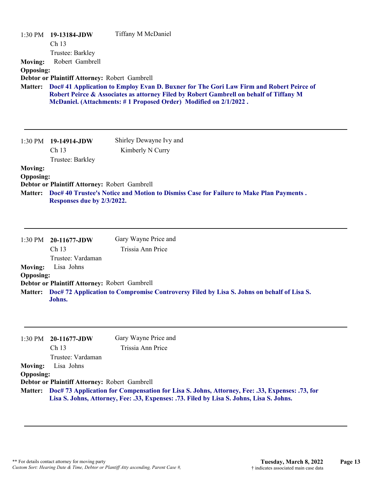|                                               | 1:30 PM 19-13184-JDW<br>Ch 13<br>Trustee: Barkley                           | Tiffany M McDaniel                                                                                                                                                                                                                                    |
|-----------------------------------------------|-----------------------------------------------------------------------------|-------------------------------------------------------------------------------------------------------------------------------------------------------------------------------------------------------------------------------------------------------|
| <b>Moving:</b>                                | Robert Gambrell                                                             |                                                                                                                                                                                                                                                       |
| <b>Opposing:</b>                              |                                                                             |                                                                                                                                                                                                                                                       |
|                                               | Debtor or Plaintiff Attorney: Robert Gambrell                               |                                                                                                                                                                                                                                                       |
| <b>Matter:</b>                                |                                                                             | Doc# 41 Application to Employ Evan D. Buxner for The Gori Law Firm and Robert Peirce of<br>Robert Peirce & Associates as attorney Filed by Robert Gambrell on behalf of Tiffany M<br>McDaniel. (Attachments: #1 Proposed Order) Modified on 2/1/2022. |
|                                               | 1:30 PM 19-14914-JDW                                                        | Shirley Dewayne Ivy and                                                                                                                                                                                                                               |
|                                               | Ch 13<br>Trustee: Barkley                                                   | Kimberly N Curry                                                                                                                                                                                                                                      |
| <b>Moving:</b><br><b>Opposing:</b><br>Matter: | Debtor or Plaintiff Attorney: Robert Gambrell<br>Responses due by 2/3/2022. | Doc# 40 Trustee's Notice and Motion to Dismiss Case for Failure to Make Plan Payments.                                                                                                                                                                |

|                  | 1:30 PM 20-11677-JDW                          | Gary Wayne Price and                                                                              |
|------------------|-----------------------------------------------|---------------------------------------------------------------------------------------------------|
|                  | Ch <sub>13</sub>                              | Trissia Ann Price                                                                                 |
|                  | Trustee: Vardaman                             |                                                                                                   |
| <b>Moving:</b>   | Lisa Johns                                    |                                                                                                   |
| <b>Opposing:</b> |                                               |                                                                                                   |
|                  | Debtor or Plaintiff Attorney: Robert Gambrell |                                                                                                   |
|                  | Johns.                                        | Matter: Doc# 72 Application to Compromise Controversy Filed by Lisa S. Johns on behalf of Lisa S. |

|                  | $1:30 \text{ PM}$ 20-11677-JDW                                                                         | Gary Wayne Price and                                                                     |
|------------------|--------------------------------------------------------------------------------------------------------|------------------------------------------------------------------------------------------|
|                  | Ch 13                                                                                                  | Trissia Ann Price                                                                        |
|                  | Trustee: Vardaman                                                                                      |                                                                                          |
| <b>Moving:</b>   | Lisa Johns                                                                                             |                                                                                          |
| <b>Opposing:</b> |                                                                                                        |                                                                                          |
|                  | Debtor or Plaintiff Attorney: Robert Gambrell                                                          |                                                                                          |
|                  | Matter: Doc# 73 Application for Compensation for Lisa S. Johns, Attorney, Fee: .33, Expenses: .73, for |                                                                                          |
|                  |                                                                                                        | Lisa S. Johns, Attorney, Fee: .33, Expenses: .73. Filed by Lisa S. Johns, Lisa S. Johns. |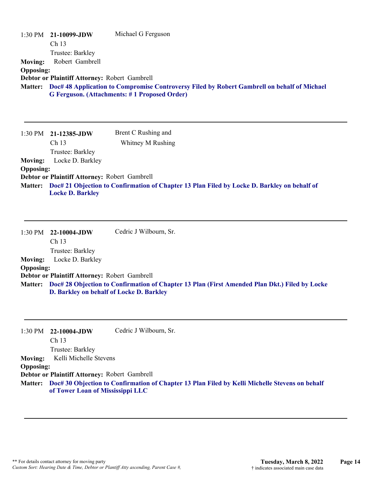| <b>Moving:</b><br><b>Opposing:</b>                   | 1:30 PM 21-10099-JDW<br>Ch 13<br>Trustee: Barkley<br>Robert Gambrell<br>Debtor or Plaintiff Attorney: Robert Gambrell | Michael G Ferguson<br>Matter: Doc# 48 Application to Compromise Controversy Filed by Robert Gambrell on behalf of Michael<br>G Ferguson. (Attachments: #1 Proposed Order) |
|------------------------------------------------------|-----------------------------------------------------------------------------------------------------------------------|---------------------------------------------------------------------------------------------------------------------------------------------------------------------------|
| 1:30 PM                                              | 21-12385-JDW<br>Ch 13<br>Trustee: Barkley                                                                             | Brent C Rushing and<br>Whitney M Rushing                                                                                                                                  |
| <b>Moving:</b><br><b>Opposing:</b><br><b>Matter:</b> | Locke D. Barkley<br>Debtor or Plaintiff Attorney: Robert Gambrell<br><b>Locke D. Barkley</b>                          | Doc# 21 Objection to Confirmation of Chapter 13 Plan Filed by Locke D. Barkley on behalf of                                                                               |
| 1:30 PM                                              | 22-10004-JDW<br>Ch 13<br>Trustee: Barkley                                                                             | Cedric J Wilbourn, Sr.                                                                                                                                                    |
| <b>Moving:</b>                                       | Locke D. Barkley                                                                                                      |                                                                                                                                                                           |
| <b>Opposing:</b>                                     | Debtor or Plaintiff Attorney: Robert Gambrell                                                                         |                                                                                                                                                                           |
| <b>Matter:</b>                                       | D. Barkley on behalf of Locke D. Barkley                                                                              | Doc# 28 Objection to Confirmation of Chapter 13 Plan (First Amended Plan Dkt.) Filed by Locke                                                                             |
| 1:30 PM                                              | 22-10004-JDW<br>Ch 13<br>Trustee: Barkley                                                                             | Cedric J Wilbourn, Sr.                                                                                                                                                    |
| <b>Moving:</b><br><b>Opposing:</b>                   | Kelli Michelle Stevens                                                                                                |                                                                                                                                                                           |

**Debtor or Plaintiff Attorney:** Robert Gambrell

**Doc# 30 Objection to Confirmation of Chapter 13 Plan Filed by Kelli Michelle Stevens on behalf Matter: of Tower Loan of Mississippi LLC**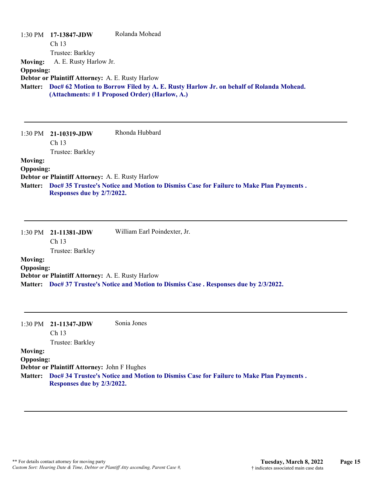### 1:30 PM **17-13847-JDW**  Ch 13 Trustee: Barkley Rolanda Mohead **Moving:** A. E. Rusty Harlow Jr. **Opposing: Debtor or Plaintiff Attorney:** A. E. Rusty Harlow **Doc# 62 Motion to Borrow Filed by A. E. Rusty Harlow Jr. on behalf of Rolanda Mohead. Matter: (Attachments: # 1 Proposed Order) (Harlow, A.)**

| 1:30 PM          | 21-10319-JDW                                            | Rhonda Hubbard                                                                         |
|------------------|---------------------------------------------------------|----------------------------------------------------------------------------------------|
|                  | Ch <sub>13</sub>                                        |                                                                                        |
|                  | Trustee: Barkley                                        |                                                                                        |
| <b>Moving:</b>   |                                                         |                                                                                        |
| <b>Opposing:</b> |                                                         |                                                                                        |
|                  | <b>Debtor or Plaintiff Attorney: A. E. Rusty Harlow</b> |                                                                                        |
| <b>Matter:</b>   |                                                         | Doc# 35 Trustee's Notice and Motion to Dismiss Case for Failure to Make Plan Payments. |
|                  | Responses due by 2/7/2022.                              |                                                                                        |

|                  | $1:30 \text{ PM}$ 21-11381-JDW                   | William Earl Poindexter, Jr.                                                             |
|------------------|--------------------------------------------------|------------------------------------------------------------------------------------------|
|                  | Ch <sub>13</sub>                                 |                                                                                          |
|                  | Trustee: Barkley                                 |                                                                                          |
| <b>Moving:</b>   |                                                  |                                                                                          |
| <b>Opposing:</b> |                                                  |                                                                                          |
|                  | Debtor or Plaintiff Attorney: A. E. Rusty Harlow |                                                                                          |
|                  |                                                  | Matter: Doc# 37 Trustee's Notice and Motion to Dismiss Case . Responses due by 2/3/2022. |

| 1:30 PM          | 21-11347-JDW<br>Ch <sub>13</sub>            | Sonia Jones                                                                                    |
|------------------|---------------------------------------------|------------------------------------------------------------------------------------------------|
|                  | Trustee: Barkley                            |                                                                                                |
| <b>Moving:</b>   |                                             |                                                                                                |
| <b>Opposing:</b> |                                             |                                                                                                |
|                  | Debtor or Plaintiff Attorney: John F Hughes |                                                                                                |
|                  | Responses due by 2/3/2022.                  | Matter: Doc# 34 Trustee's Notice and Motion to Dismiss Case for Failure to Make Plan Payments. |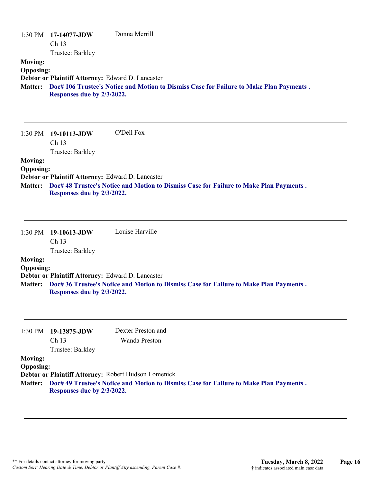|                                                      | $1:30 \text{ PM}$ 17-14077-JDW<br>Ch <sub>13</sub><br>Trustee: Barkley          | Donna Merrill                                                                           |
|------------------------------------------------------|---------------------------------------------------------------------------------|-----------------------------------------------------------------------------------------|
| <b>Moving:</b><br><b>Opposing:</b><br><b>Matter:</b> | Debtor or Plaintiff Attorney: Edward D. Lancaster<br>Responses due by 2/3/2022. | Doc# 106 Trustee's Notice and Motion to Dismiss Case for Failure to Make Plan Payments. |
| $1:30$ PM                                            | - 19-10113-JDW                                                                  | O'Dell Fox                                                                              |

Ch 13 Trustee: Barkley **Moving: Opposing: Debtor or Plaintiff Attorney:** Edward D. Lancaster **Doc# 48 Trustee's Notice and Motion to Dismiss Case for Failure to Make Plan Payments . Matter: Responses due by 2/3/2022.**

|                  | $1:30 \text{ PM}$ 19-10613-JDW | Louise Harville                                                                        |
|------------------|--------------------------------|----------------------------------------------------------------------------------------|
|                  | Ch <sub>13</sub>               |                                                                                        |
|                  | Trustee: Barkley               |                                                                                        |
| <b>Moving:</b>   |                                |                                                                                        |
| <b>Opposing:</b> |                                |                                                                                        |
|                  |                                | Debtor or Plaintiff Attorney: Edward D. Lancaster                                      |
| <b>Matter:</b>   | Responses due by 2/3/2022.     | Doc# 36 Trustee's Notice and Motion to Dismiss Case for Failure to Make Plan Payments. |

|                  | $1:30 \text{ PM}$ 19-13875-JDW<br>Ch <sub>13</sub>                                                                           | Dexter Preston and<br>Wanda Preston |
|------------------|------------------------------------------------------------------------------------------------------------------------------|-------------------------------------|
|                  | Trustee: Barkley                                                                                                             |                                     |
| <b>Moving:</b>   |                                                                                                                              |                                     |
| <b>Opposing:</b> |                                                                                                                              |                                     |
|                  | Debtor or Plaintiff Attorney: Robert Hudson Lomenick                                                                         |                                     |
|                  | Matter: Doc# 49 Trustee's Notice and Motion to Dismiss Case for Failure to Make Plan Payments.<br>Responses due by 2/3/2022. |                                     |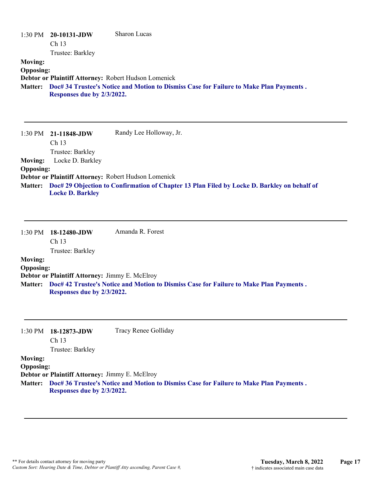|                  | $1:30$ PM $20-10131$ -JDW  | Sharon Lucas                                                                           |
|------------------|----------------------------|----------------------------------------------------------------------------------------|
|                  | Ch <sub>13</sub>           |                                                                                        |
|                  | Trustee: Barkley           |                                                                                        |
| <b>Moving:</b>   |                            |                                                                                        |
| <b>Opposing:</b> |                            |                                                                                        |
|                  |                            | Debtor or Plaintiff Attorney: Robert Hudson Lomenick                                   |
| <b>Matter:</b>   |                            | Doc# 34 Trustee's Notice and Motion to Dismiss Case for Failure to Make Plan Payments. |
|                  | Responses due by 2/3/2022. |                                                                                        |
|                  |                            |                                                                                        |
|                  |                            |                                                                                        |
|                  |                            |                                                                                        |

|                  | $1:30 \text{ PM}$ 21-11848-JDW | Randy Lee Holloway, Jr.                                                                             |
|------------------|--------------------------------|-----------------------------------------------------------------------------------------------------|
|                  | Ch <sub>13</sub>               |                                                                                                     |
|                  | Trustee: Barkley               |                                                                                                     |
| <b>Moving:</b>   | Locke D. Barkley               |                                                                                                     |
| <b>Opposing:</b> |                                |                                                                                                     |
|                  |                                | Debtor or Plaintiff Attorney: Robert Hudson Lomenick                                                |
|                  | <b>Locke D. Barkley</b>        | Matter: Doc# 29 Objection to Confirmation of Chapter 13 Plan Filed by Locke D. Barkley on behalf of |

| $1:30$ PM        | $18-12480$ -JDW                                | Amanda R. Forest                                                                       |
|------------------|------------------------------------------------|----------------------------------------------------------------------------------------|
|                  | Ch <sub>13</sub>                               |                                                                                        |
|                  | Trustee: Barkley                               |                                                                                        |
| <b>Moving:</b>   |                                                |                                                                                        |
| <b>Opposing:</b> |                                                |                                                                                        |
|                  | Debtor or Plaintiff Attorney: Jimmy E. McElroy |                                                                                        |
| <b>Matter:</b>   |                                                | Doc# 42 Trustee's Notice and Motion to Dismiss Case for Failure to Make Plan Payments. |
|                  | Responses due by 2/3/2022.                     |                                                                                        |

| 1:30 PM          | 18-12873-JDW                                          | Tracy Renee Golliday                                                                           |
|------------------|-------------------------------------------------------|------------------------------------------------------------------------------------------------|
|                  | Ch <sub>13</sub>                                      |                                                                                                |
|                  | Trustee: Barkley                                      |                                                                                                |
| <b>Moving:</b>   |                                                       |                                                                                                |
| <b>Opposing:</b> |                                                       |                                                                                                |
|                  | <b>Debtor or Plaintiff Attorney: Jimmy E. McElroy</b> |                                                                                                |
|                  |                                                       | Matter: Doc# 36 Trustee's Notice and Motion to Dismiss Case for Failure to Make Plan Payments. |
|                  | Responses due by 2/3/2022.                            |                                                                                                |
|                  |                                                       |                                                                                                |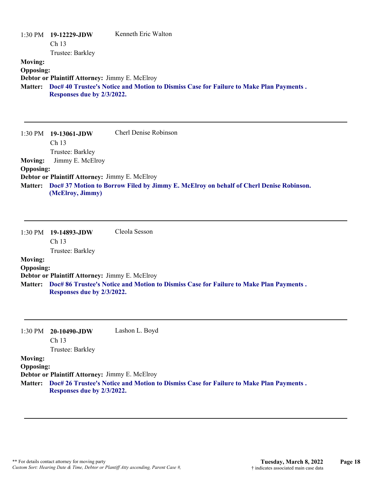|                  | $1:30 \text{ PM}$ 19-12229-JDW | Kenneth Eric Walton                                                                    |
|------------------|--------------------------------|----------------------------------------------------------------------------------------|
|                  | Ch <sub>13</sub>               |                                                                                        |
|                  | Trustee: Barkley               |                                                                                        |
| <b>Moving:</b>   |                                |                                                                                        |
| <b>Opposing:</b> |                                |                                                                                        |
|                  |                                | Debtor or Plaintiff Attorney: Jimmy E. McElroy                                         |
| <b>Matter:</b>   | Responses due by 2/3/2022.     | Doc# 40 Trustee's Notice and Motion to Dismiss Case for Failure to Make Plan Payments. |

|                  | $1:30 \text{ PM}$ 19-13061-JDW                                                                 | <b>Cherl Denise Robinson</b> |
|------------------|------------------------------------------------------------------------------------------------|------------------------------|
|                  | Ch <sub>13</sub>                                                                               |                              |
|                  | Trustee: Barkley                                                                               |                              |
| <b>Moving:</b>   | Jimmy E. McElroy                                                                               |                              |
| <b>Opposing:</b> |                                                                                                |                              |
|                  | <b>Debtor or Plaintiff Attorney: Jimmy E. McElroy</b>                                          |                              |
|                  | Matter: Doc# 37 Motion to Borrow Filed by Jimmy E. McElroy on behalf of Cherl Denise Robinson. |                              |
|                  | (McElroy, Jimmy)                                                                               |                              |

|                  | $1:30 \text{ PM}$ 19-14893-JDW | Cleola Sesson |
|------------------|--------------------------------|---------------|
|                  | Ch <sub>13</sub>               |               |
|                  | Trustee: Barkley               |               |
| <b>Moving:</b>   |                                |               |
| <b>Opposing:</b> |                                |               |

**Debtor or Plaintiff Attorney:** Jimmy E. McElroy

**Doc# 86 Trustee's Notice and Motion to Dismiss Case for Failure to Make Plan Payments . Matter: Responses due by 2/3/2022.**

| $1:30 \text{ PM}$ 20-10490-JDW | Lashon L. Boyd |
|--------------------------------|----------------|
| Ch <sub>13</sub>               |                |

Trustee: Barkley

## **Moving:**

**Opposing:**

**Debtor or Plaintiff Attorney:** Jimmy E. McElroy

**Doc# 26 Trustee's Notice and Motion to Dismiss Case for Failure to Make Plan Payments . Matter: Responses due by 2/3/2022.**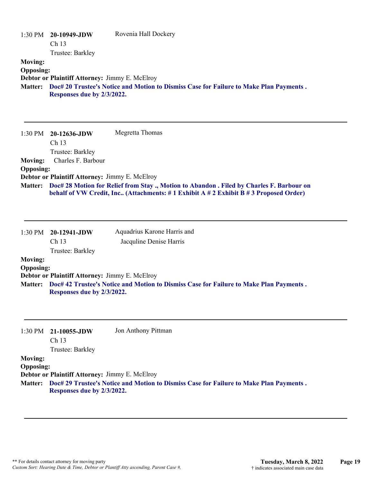| <b>Moving:</b><br><b>Opposing:</b>                   | 1:30 PM 20-10949-JDW<br>Ch <sub>13</sub><br>Trustee: Barkley                 | Rovenia Hall Dockery                                                                                                                                                           |
|------------------------------------------------------|------------------------------------------------------------------------------|--------------------------------------------------------------------------------------------------------------------------------------------------------------------------------|
| <b>Matter:</b>                                       | Debtor or Plaintiff Attorney: Jimmy E. McElroy<br>Responses due by 2/3/2022. | Doc# 20 Trustee's Notice and Motion to Dismiss Case for Failure to Make Plan Payments.                                                                                         |
| $1:30$ PM                                            | 20-12636-JDW<br>Ch 13<br>Trustee: Barkley                                    | Megretta Thomas                                                                                                                                                                |
| <b>Moving:</b><br><b>Opposing:</b>                   | Charles F. Barbour                                                           |                                                                                                                                                                                |
|                                                      | Debtor or Plaintiff Attorney: Jimmy E. McElroy                               |                                                                                                                                                                                |
| <b>Matter:</b>                                       |                                                                              | Doc# 28 Motion for Relief from Stay., Motion to Abandon. Filed by Charles F. Barbour on<br>behalf of VW Credit, Inc (Attachments: #1 Exhibit A #2 Exhibit B #3 Proposed Order) |
| 1:30 PM                                              | 20-12941-JDW                                                                 | Aquadrius Karone Harris and                                                                                                                                                    |
|                                                      | Ch <sub>13</sub>                                                             | Jacquline Denise Harris                                                                                                                                                        |
| <b>Moving:</b>                                       | Trustee: Barkley                                                             |                                                                                                                                                                                |
| <b>Opposing:</b>                                     |                                                                              |                                                                                                                                                                                |
| <b>Matter:</b>                                       | Debtor or Plaintiff Attorney: Jimmy E. McElroy<br>Responses due by 2/3/2022. | Doc# 42 Trustee's Notice and Motion to Dismiss Case for Failure to Make Plan Payments.                                                                                         |
| 1:30 PM                                              | 21-10055-JDW<br>Ch <sub>13</sub>                                             | Jon Anthony Pittman                                                                                                                                                            |
| <b>Moving:</b><br><b>Opposing:</b><br><b>Matter:</b> | Trustee: Barkley<br>Debtor or Plaintiff Attorney: Jimmy E. McElroy           | Doc# 29 Trustee's Notice and Motion to Dismiss Case for Failure to Make Plan Payments.                                                                                         |
|                                                      | Responses due by 2/3/2022.                                                   |                                                                                                                                                                                |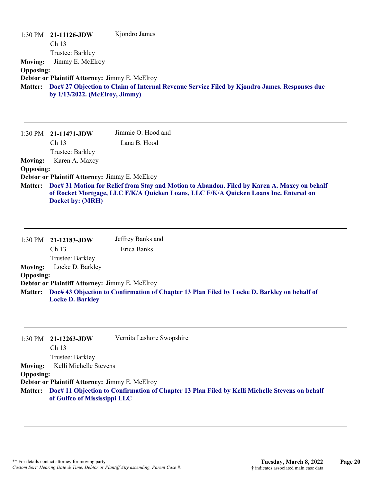| $1:30$ PM        | 21-11126-JDW                                   | Kjondro James                                                                                |
|------------------|------------------------------------------------|----------------------------------------------------------------------------------------------|
|                  | Ch <sub>13</sub>                               |                                                                                              |
|                  | Trustee: Barkley                               |                                                                                              |
| <b>Moving:</b>   | Jimmy E. McElroy                               |                                                                                              |
| <b>Opposing:</b> |                                                |                                                                                              |
|                  | Debtor or Plaintiff Attorney: Jimmy E. McElroy |                                                                                              |
| <b>Matter:</b>   | by $1/13/2022$ . (McElroy, Jimmy)              | Doc# 27 Objection to Claim of Internal Revenue Service Filed by Kjondro James. Responses due |
|                  |                                                |                                                                                              |

|                  | $1:30 \text{ PM}$ 21-11471-JDW                                                                                                                                                                                   | Jimmie O. Hood and |
|------------------|------------------------------------------------------------------------------------------------------------------------------------------------------------------------------------------------------------------|--------------------|
|                  | Ch <sub>13</sub>                                                                                                                                                                                                 | Lana B. Hood       |
|                  | Trustee: Barkley                                                                                                                                                                                                 |                    |
| <b>Moving:</b>   | Karen A. Maxcy                                                                                                                                                                                                   |                    |
| <b>Opposing:</b> |                                                                                                                                                                                                                  |                    |
|                  | Debtor or Plaintiff Attorney: Jimmy E. McElroy                                                                                                                                                                   |                    |
|                  | Matter: Doc# 31 Motion for Relief from Stay and Motion to Abandon. Filed by Karen A. Maxcy on behalf<br>of Rocket Mortgage, LLC F/K/A Quicken Loans, LLC F/K/A Quicken Loans Inc. Entered on<br>Docket by: (MRH) |                    |

|                  | $1:30$ PM $21-12183$ -JDW                             | Jeffrey Banks and |                                                                                                     |
|------------------|-------------------------------------------------------|-------------------|-----------------------------------------------------------------------------------------------------|
|                  | Ch 13                                                 | Erica Banks       |                                                                                                     |
|                  | Trustee: Barkley                                      |                   |                                                                                                     |
| <b>Moving:</b>   | Locke D. Barkley                                      |                   |                                                                                                     |
| <b>Opposing:</b> |                                                       |                   |                                                                                                     |
|                  | <b>Debtor or Plaintiff Attorney: Jimmy E. McElroy</b> |                   |                                                                                                     |
|                  | <b>Locke D. Barkley</b>                               |                   | Matter: Doc# 43 Objection to Confirmation of Chapter 13 Plan Filed by Locke D. Barkley on behalf of |

|                  | $1:30 \text{ PM}$ 21-12263-JDW                 | Vernita Lashore Swopshire                                                                              |
|------------------|------------------------------------------------|--------------------------------------------------------------------------------------------------------|
|                  | Ch 13                                          |                                                                                                        |
|                  | Trustee: Barkley                               |                                                                                                        |
| <b>Moving:</b>   | Kelli Michelle Stevens                         |                                                                                                        |
| <b>Opposing:</b> |                                                |                                                                                                        |
|                  | Debtor or Plaintiff Attorney: Jimmy E. McElroy |                                                                                                        |
|                  | of Gulfco of Mississippi LLC                   | Matter: Doc# 11 Objection to Confirmation of Chapter 13 Plan Filed by Kelli Michelle Stevens on behalf |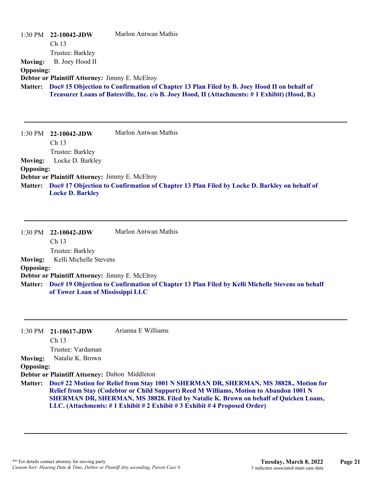| <b>Moving:</b><br><b>Opposing:</b> | 1:30 PM 22-10042-JDW<br>Ch <sub>13</sub><br>Trustee: Barkley<br>B. Joey Hood II | Marlon Antwan Mathis                                                                          |
|------------------------------------|---------------------------------------------------------------------------------|-----------------------------------------------------------------------------------------------|
| <b>Matter:</b>                     | Debtor or Plaintiff Attorney: Jimmy E. McElroy                                  | Doc# 15 Objection to Confirmation of Chapter 13 Plan Filed by B. Joey Hood II on behalf of    |
|                                    |                                                                                 | Treasurer Loans of Batesville, Inc. c/o B. Joey Hood, II (Attachments: #1 Exhibit) (Hood, B.) |
|                                    |                                                                                 |                                                                                               |
| 1:30 PM                            | 22-10042-JDW                                                                    | Marlon Antwan Mathis                                                                          |
|                                    | Ch 13                                                                           |                                                                                               |
|                                    | Trustee: Barkley                                                                |                                                                                               |
| <b>Moving:</b>                     | Locke D. Barkley                                                                |                                                                                               |
| <b>Opposing:</b>                   |                                                                                 |                                                                                               |
|                                    | Debtor or Plaintiff Attorney: Jimmy E. McElroy                                  |                                                                                               |
| <b>Matter:</b>                     | <b>Locke D. Barkley</b>                                                         | Doc# 17 Objection to Confirmation of Chapter 13 Plan Filed by Locke D. Barkley on behalf of   |
| 1:30 PM                            | 22-10042-JDW<br>Ch 13                                                           | Marlon Antwan Mathis                                                                          |
|                                    | Trustee: Barkley                                                                |                                                                                               |
| <b>Moving:</b>                     | Kelli Michelle Stevens                                                          |                                                                                               |
| <b>Opposing:</b>                   |                                                                                 |                                                                                               |

**Debtor or Plaintiff Attorney:** Jimmy E. McElroy

**Doc# 19 Objection to Confirmation of Chapter 13 Plan Filed by Kelli Michelle Stevens on behalf Matter: of Tower Loan of Mississippi LLC**

|                  | $1:30 \text{ PM}$ 21-10617-JDW                 | Arianna E Williams                                                                                                                                                                                                                                                                                                                                               |
|------------------|------------------------------------------------|------------------------------------------------------------------------------------------------------------------------------------------------------------------------------------------------------------------------------------------------------------------------------------------------------------------------------------------------------------------|
|                  | Ch <sub>13</sub>                               |                                                                                                                                                                                                                                                                                                                                                                  |
|                  | Trustee: Vardaman                              |                                                                                                                                                                                                                                                                                                                                                                  |
| <b>Moving:</b>   | Natalie K. Brown                               |                                                                                                                                                                                                                                                                                                                                                                  |
| <b>Opposing:</b> |                                                |                                                                                                                                                                                                                                                                                                                                                                  |
|                  | Debtor or Plaintiff Attorney: Dalton Middleton |                                                                                                                                                                                                                                                                                                                                                                  |
|                  |                                                | Matter: Doc# 22 Motion for Relief from Stay 1001 N SHERMAN DR, SHERMAN, MS 38828., Motion for<br>Relief from Stay (Codebtor or Child Support) Reed M Williams, Motion to Abandon 1001 N<br><b>SHERMAN DR, SHERMAN, MS 38828. Filed by Natalie K. Brown on behalf of Quicken Loans,</b><br>LLC. (Attachments: #1 Exhibit #2 Exhibit #3 Exhibit #4 Proposed Order) |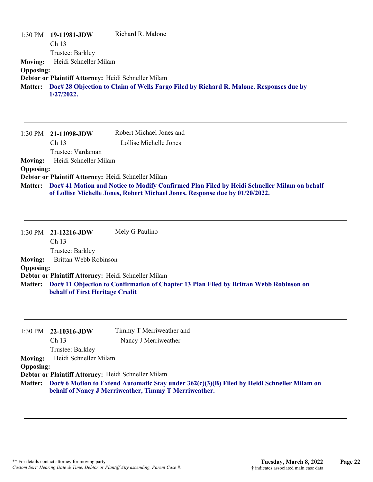|                  | 1:30 PM 19-11981-JDW                                | Richard R. Malone                                                                              |
|------------------|-----------------------------------------------------|------------------------------------------------------------------------------------------------|
|                  | Ch <sub>13</sub>                                    |                                                                                                |
|                  | Trustee: Barkley                                    |                                                                                                |
| <b>Moving:</b>   | Heidi Schneller Milam                               |                                                                                                |
| <b>Opposing:</b> |                                                     |                                                                                                |
|                  | Debtor or Plaintiff Attorney: Heidi Schneller Milam |                                                                                                |
|                  |                                                     | Matter: Doc# 28 Objection to Claim of Wells Fargo Filed by Richard R. Malone. Responses due by |
|                  | 1/27/2022.                                          |                                                                                                |

|                  | $1:30 \text{ PM}$ 21-11098-JDW                                                                                                                                                      | Robert Michael Jones and |
|------------------|-------------------------------------------------------------------------------------------------------------------------------------------------------------------------------------|--------------------------|
|                  | Ch <sub>13</sub>                                                                                                                                                                    | Lollise Michelle Jones   |
|                  | Trustee: Vardaman                                                                                                                                                                   |                          |
| <b>Moving:</b>   | Heidi Schneller Milam                                                                                                                                                               |                          |
| <b>Opposing:</b> |                                                                                                                                                                                     |                          |
|                  | Debtor or Plaintiff Attorney: Heidi Schneller Milam                                                                                                                                 |                          |
|                  | Matter: Doc# 41 Motion and Notice to Modify Confirmed Plan Filed by Heidi Schneller Milam on behalf<br>of Lollise Michelle Jones, Robert Michael Jones. Response due by 01/20/2022. |                          |

|                  | $1:30 \text{ PM}$ 21-12216-JDW                      | Mely G Paulino                                                                         |
|------------------|-----------------------------------------------------|----------------------------------------------------------------------------------------|
|                  | Ch <sub>13</sub>                                    |                                                                                        |
|                  | Trustee: Barkley                                    |                                                                                        |
| <b>Moving:</b>   | Brittan Webb Robinson                               |                                                                                        |
| <b>Opposing:</b> |                                                     |                                                                                        |
|                  | Debtor or Plaintiff Attorney: Heidi Schneller Milam |                                                                                        |
| <b>Matter:</b>   | behalf of First Heritage Credit                     | Doc# 11 Objection to Confirmation of Chapter 13 Plan Filed by Brittan Webb Robinson on |

|                  | $1:30 \text{ PM}$ 22-10316-JDW                      | Timmy T Merriweather and                                                                            |
|------------------|-----------------------------------------------------|-----------------------------------------------------------------------------------------------------|
|                  | Ch 13                                               | Nancy J Merriweather                                                                                |
|                  | Trustee: Barkley                                    |                                                                                                     |
|                  | Moving: Heidi Schneller Milam                       |                                                                                                     |
| <b>Opposing:</b> |                                                     |                                                                                                     |
|                  | Debtor or Plaintiff Attorney: Heidi Schneller Milam |                                                                                                     |
|                  |                                                     | Matter: Doc# 6 Motion to Extend Automatic Stay under 362(c)(3)(B) Filed by Heidi Schneller Milam on |

**behalf of Nancy J Merriweather, Timmy T Merriweather.**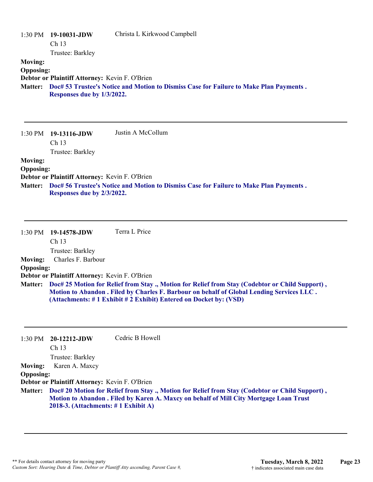|                  | 1:30 PM 19-10031-JDW                           | Christa L Kirkwood Campbell                                                            |
|------------------|------------------------------------------------|----------------------------------------------------------------------------------------|
|                  | Ch 13                                          |                                                                                        |
|                  | Trustee: Barkley                               |                                                                                        |
| <b>Moving:</b>   |                                                |                                                                                        |
| <b>Opposing:</b> |                                                |                                                                                        |
|                  | Debtor or Plaintiff Attorney: Kevin F. O'Brien |                                                                                        |
| <b>Matter:</b>   | Responses due by 1/3/2022.                     | Doc# 53 Trustee's Notice and Motion to Dismiss Case for Failure to Make Plan Payments. |

|                  | $1:30 \text{ PM}$ 19-13116-JDW                 | Justin A McCollum                                                                      |
|------------------|------------------------------------------------|----------------------------------------------------------------------------------------|
|                  | Ch <sub>13</sub>                               |                                                                                        |
|                  | Trustee: Barkley                               |                                                                                        |
| <b>Moving:</b>   |                                                |                                                                                        |
| <b>Opposing:</b> |                                                |                                                                                        |
|                  | Debtor or Plaintiff Attorney: Kevin F. O'Brien |                                                                                        |
| <b>Matter:</b>   |                                                | Doc# 56 Trustee's Notice and Motion to Dismiss Case for Failure to Make Plan Payments. |
|                  | Responses due by 2/3/2022.                     |                                                                                        |

|                  | $1:30 \text{ PM}$ 19-14578-JDW                 | Terra L Price                                                                                                                                                                                       |
|------------------|------------------------------------------------|-----------------------------------------------------------------------------------------------------------------------------------------------------------------------------------------------------|
|                  | Ch <sub>13</sub>                               |                                                                                                                                                                                                     |
|                  | Trustee: Barkley                               |                                                                                                                                                                                                     |
| <b>Moving:</b>   | Charles F. Barbour                             |                                                                                                                                                                                                     |
| <b>Opposing:</b> |                                                |                                                                                                                                                                                                     |
|                  | Debtor or Plaintiff Attorney: Kevin F. O'Brien |                                                                                                                                                                                                     |
|                  |                                                | Matter: Doc# 25 Motion for Relief from Stay ., Motion for Relief from Stay (Codebtor or Child Support),<br>Motion to Abandon. Filed by Charles F. Barbour on behalf of Global Lending Services LLC. |
|                  |                                                | (Attachments: #1 Exhibit #2 Exhibit) Entered on Docket by: (VSD)                                                                                                                                    |

| 1:30 PM          | $20-12212$ -JDW                                | Cedric B Howell                                                                                                                                                                                  |
|------------------|------------------------------------------------|--------------------------------------------------------------------------------------------------------------------------------------------------------------------------------------------------|
|                  | Ch <sub>13</sub>                               |                                                                                                                                                                                                  |
|                  | Trustee: Barkley                               |                                                                                                                                                                                                  |
| <b>Moving:</b>   | Karen A. Maxcy                                 |                                                                                                                                                                                                  |
| <b>Opposing:</b> |                                                |                                                                                                                                                                                                  |
|                  | Debtor or Plaintiff Attorney: Kevin F. O'Brien |                                                                                                                                                                                                  |
|                  | 2018-3. (Attachments: $\#$ 1 Exhibit A)        | Matter: Doc# 20 Motion for Relief from Stay., Motion for Relief from Stay (Codebtor or Child Support),<br>Motion to Abandon . Filed by Karen A. Maxcy on behalf of Mill City Mortgage Loan Trust |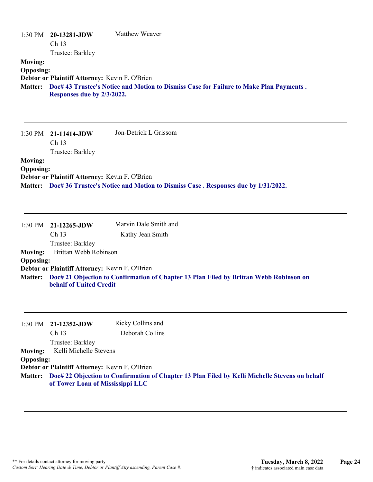|                  | $1:30 \text{ PM}$ 20-13281-JDW                 | Matthew Weaver                                                                         |
|------------------|------------------------------------------------|----------------------------------------------------------------------------------------|
|                  | Ch <sub>13</sub>                               |                                                                                        |
|                  | Trustee: Barkley                               |                                                                                        |
| <b>Moving:</b>   |                                                |                                                                                        |
| <b>Opposing:</b> |                                                |                                                                                        |
|                  | Debtor or Plaintiff Attorney: Kevin F. O'Brien |                                                                                        |
| <b>Matter:</b>   | Responses due by 2/3/2022.                     | Doc# 43 Trustee's Notice and Motion to Dismiss Case for Failure to Make Plan Payments. |

|                  | $1:30 \text{ PM}$ 21-11414-JDW                 | Jon-Detrick L Grissom                                                                    |
|------------------|------------------------------------------------|------------------------------------------------------------------------------------------|
|                  | Ch <sub>13</sub>                               |                                                                                          |
|                  | Trustee: Barkley                               |                                                                                          |
| <b>Moving:</b>   |                                                |                                                                                          |
| <b>Opposing:</b> |                                                |                                                                                          |
|                  | Debtor or Plaintiff Attorney: Kevin F. O'Brien |                                                                                          |
|                  |                                                | Matter: Doc# 36 Trustee's Notice and Motion to Dismiss Case. Responses due by 1/31/2022. |

|                  | $1:30 \text{ PM}$ 21-12265-JDW                 | Marvin Dale Smith and                                                                          |
|------------------|------------------------------------------------|------------------------------------------------------------------------------------------------|
|                  | Ch <sub>13</sub>                               | Kathy Jean Smith                                                                               |
|                  | Trustee: Barkley                               |                                                                                                |
|                  | Moving: Brittan Webb Robinson                  |                                                                                                |
| <b>Opposing:</b> |                                                |                                                                                                |
|                  | Debtor or Plaintiff Attorney: Kevin F. O'Brien |                                                                                                |
|                  |                                                | Matter: Doc# 21 Objection to Confirmation of Chapter 13 Plan Filed by Brittan Webb Robinson on |
|                  | <b>behalf of United Credit</b>                 |                                                                                                |

|                  | $1:30 \text{ PM}$ 21-12352-JDW                 | Ricky Collins and                                                                                      |
|------------------|------------------------------------------------|--------------------------------------------------------------------------------------------------------|
|                  | Ch <sub>13</sub>                               | Deborah Collins                                                                                        |
|                  | Trustee: Barkley                               |                                                                                                        |
| <b>Moving:</b>   | Kelli Michelle Stevens                         |                                                                                                        |
| <b>Opposing:</b> |                                                |                                                                                                        |
|                  | Debtor or Plaintiff Attorney: Kevin F. O'Brien |                                                                                                        |
|                  | of Tower Loan of Mississippi LLC               | Matter: Doc# 22 Objection to Confirmation of Chapter 13 Plan Filed by Kelli Michelle Stevens on behalf |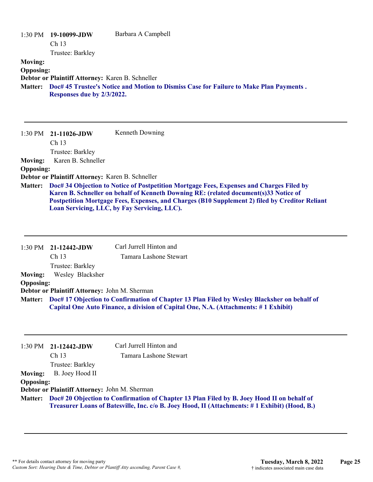|                  | 1:30 PM 19-10099-JDW                             | Barbara A Campbell                                                                     |
|------------------|--------------------------------------------------|----------------------------------------------------------------------------------------|
|                  | Ch 13                                            |                                                                                        |
|                  | Trustee: Barkley                                 |                                                                                        |
| <b>Moving:</b>   |                                                  |                                                                                        |
| <b>Opposing:</b> |                                                  |                                                                                        |
|                  | Debtor or Plaintiff Attorney: Karen B. Schneller |                                                                                        |
| <b>Matter:</b>   |                                                  | Doc# 45 Trustee's Notice and Motion to Dismiss Case for Failure to Make Plan Payments. |
|                  | Responses due by 2/3/2022.                       |                                                                                        |
|                  |                                                  |                                                                                        |
|                  |                                                  |                                                                                        |
|                  |                                                  |                                                                                        |

1:30 PM **21-11026-JDW**  Ch 13 Trustee: Barkley Kenneth Downing **Moving:** Karen B. Schneller **Opposing: Debtor or Plaintiff Attorney:** Karen B. Schneller **Doc# 34 Objection to Notice of Postpetition Mortgage Fees, Expenses and Charges Filed by Matter: Karen B. Schneller on behalf of Kenneth Downing RE: (related document(s)33 Notice of Postpetition Mortgage Fees, Expenses, and Charges (B10 Supplement 2) filed by Creditor Reliant Loan Servicing, LLC, by Fay Servicing, LLC).**

|                  | $1:30 \text{ PM}$ 21-12442-JDW                | Carl Jurrell Hinton and                                                                                                                                                                    |
|------------------|-----------------------------------------------|--------------------------------------------------------------------------------------------------------------------------------------------------------------------------------------------|
|                  | Ch <sub>13</sub>                              | Tamara Lashone Stewart                                                                                                                                                                     |
|                  | Trustee: Barkley                              |                                                                                                                                                                                            |
| <b>Moving:</b>   | Wesley Blacksher                              |                                                                                                                                                                                            |
| <b>Opposing:</b> |                                               |                                                                                                                                                                                            |
|                  | Debtor or Plaintiff Attorney: John M. Sherman |                                                                                                                                                                                            |
|                  |                                               | Matter: Doc# 17 Objection to Confirmation of Chapter 13 Plan Filed by Wesley Blacksher on behalf of<br>Capital One Auto Finance, a division of Capital One, N.A. (Attachments: #1 Exhibit) |

|                  | $1:30 \text{ PM}$ 21-12442-JDW                                                                                                                                                                      | Carl Jurrell Hinton and |
|------------------|-----------------------------------------------------------------------------------------------------------------------------------------------------------------------------------------------------|-------------------------|
|                  | Ch <sub>13</sub>                                                                                                                                                                                    | Tamara Lashone Stewart  |
|                  | Trustee: Barkley                                                                                                                                                                                    |                         |
| <b>Moving:</b>   | B. Joey Hood II                                                                                                                                                                                     |                         |
| <b>Opposing:</b> |                                                                                                                                                                                                     |                         |
|                  | Debtor or Plaintiff Attorney: John M. Sherman                                                                                                                                                       |                         |
|                  | Matter: Doc# 20 Objection to Confirmation of Chapter 13 Plan Filed by B. Joey Hood II on behalf of<br>Treasurer Loans of Batesville, Inc. c/o B. Joey Hood, II (Attachments: #1 Exhibit) (Hood, B.) |                         |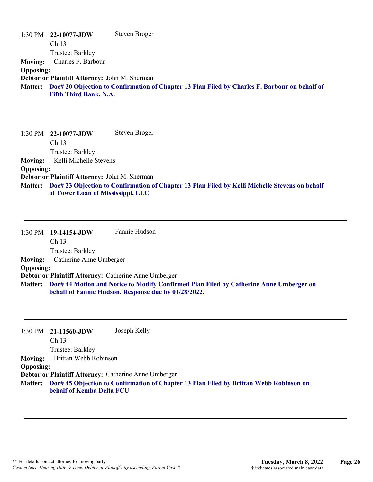|                  | $1:30 \text{ PM}$ 22-10077-JDW                | Steven Broger                                                                                         |
|------------------|-----------------------------------------------|-------------------------------------------------------------------------------------------------------|
|                  | Ch <sub>13</sub>                              |                                                                                                       |
|                  | Trustee: Barkley                              |                                                                                                       |
| <b>Moving:</b>   | Charles F. Barbour                            |                                                                                                       |
| <b>Opposing:</b> |                                               |                                                                                                       |
|                  | Debtor or Plaintiff Attorney: John M. Sherman |                                                                                                       |
|                  |                                               | Matter: Doc# 20 Objection to Confirmation of Chapter 13 Plan Filed by Charles F. Barbour on behalf of |
|                  | <b>Fifth Third Bank, N.A.</b>                 |                                                                                                       |

1:30 PM **22-10077-JDW**  Ch 13 Trustee: Barkley Steven Broger **Moving:** Kelli Michelle Stevens **Opposing: Debtor or Plaintiff Attorney:** John M. Sherman **Doc# 23 Objection to Confirmation of Chapter 13 Plan Filed by Kelli Michelle Stevens on behalf Matter: of Tower Loan of Mississippi, LLC**

1:30 PM **19-14154-JDW**  Ch 13 Trustee: Barkley Fannie Hudson **Moving:** Catherine Anne Umberger **Opposing: Debtor or Plaintiff Attorney:** Catherine Anne Umberger **Doc# 44 Motion and Notice to Modify Confirmed Plan Filed by Catherine Anne Umberger on Matter: behalf of Fannie Hudson. Response due by 01/28/2022.**

1:30 PM **21-11560-JDW**  Joseph Kelly

Ch 13

Trustee: Barkley

**Moving:** Brittan Webb Robinson

**Opposing:**

**Debtor or Plaintiff Attorney:** Catherine Anne Umberger

**Doc# 45 Objection to Confirmation of Chapter 13 Plan Filed by Brittan Webb Robinson on Matter: behalf of Kemba Delta FCU**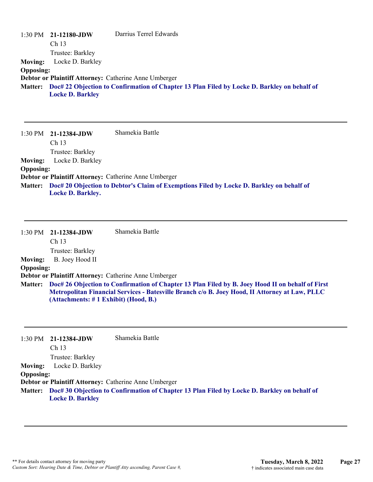|                  | $1:30 \text{ PM}$ 21-12180-JDW | Darrius Terrel Edwards                                                                              |
|------------------|--------------------------------|-----------------------------------------------------------------------------------------------------|
|                  | Ch <sub>13</sub>               |                                                                                                     |
|                  | Trustee: Barkley               |                                                                                                     |
| <b>Moving:</b>   | Locke D. Barkley               |                                                                                                     |
| <b>Opposing:</b> |                                |                                                                                                     |
|                  |                                | Debtor or Plaintiff Attorney: Catherine Anne Umberger                                               |
|                  |                                | Matter: Doc# 22 Objection to Confirmation of Chapter 13 Plan Filed by Locke D. Barkley on behalf of |
|                  | <b>Locke D. Barkley</b>        |                                                                                                     |

|                  | $1:30$ PM $21-12384$ -JDW | Shamekia Battle                                                                                  |
|------------------|---------------------------|--------------------------------------------------------------------------------------------------|
|                  | Ch <sub>13</sub>          |                                                                                                  |
|                  | Trustee: Barkley          |                                                                                                  |
| <b>Moving:</b>   | Locke D. Barkley          |                                                                                                  |
| <b>Opposing:</b> |                           |                                                                                                  |
|                  |                           | Debtor or Plaintiff Attorney: Catherine Anne Umberger                                            |
|                  |                           | Matter: Doc# 20 Objection to Debtor's Claim of Exemptions Filed by Locke D. Barkley on behalf of |
|                  | <b>Locke D. Barkley.</b>  |                                                                                                  |

|                  | 1:30 PM 21-12384-JDW                                                                                                                                                                                                                                | Shamekia Battle                                              |
|------------------|-----------------------------------------------------------------------------------------------------------------------------------------------------------------------------------------------------------------------------------------------------|--------------------------------------------------------------|
|                  | Ch <sub>13</sub>                                                                                                                                                                                                                                    |                                                              |
|                  | Trustee: Barkley                                                                                                                                                                                                                                    |                                                              |
| <b>Moving:</b>   | B. Joey Hood II                                                                                                                                                                                                                                     |                                                              |
| <b>Opposing:</b> |                                                                                                                                                                                                                                                     |                                                              |
|                  |                                                                                                                                                                                                                                                     | <b>Debtor or Plaintiff Attorney: Catherine Anne Umberger</b> |
|                  | Matter: Doc# 26 Objection to Confirmation of Chapter 13 Plan Filed by B. Joey Hood II on behalf of First<br>Metropolitan Financial Services - Batesville Branch c/o B. Joey Hood, II Attorney at Law, PLLC<br>(Attachments: # 1 Exhibit) (Hood, B.) |                                                              |

|                  | $1:30 \text{ PM}$ 21-12384-JDW | Shamekia Battle                                                                                     |
|------------------|--------------------------------|-----------------------------------------------------------------------------------------------------|
|                  | Ch <sub>13</sub>               |                                                                                                     |
|                  | Trustee: Barkley               |                                                                                                     |
| <b>Moving:</b>   | Locke D. Barkley               |                                                                                                     |
| <b>Opposing:</b> |                                |                                                                                                     |
|                  |                                | Debtor or Plaintiff Attorney: Catherine Anne Umberger                                               |
|                  |                                | Matter: Doc# 30 Objection to Confirmation of Chapter 13 Plan Filed by Locke D. Barkley on behalf of |
|                  | <b>Locke D. Barkley</b>        |                                                                                                     |